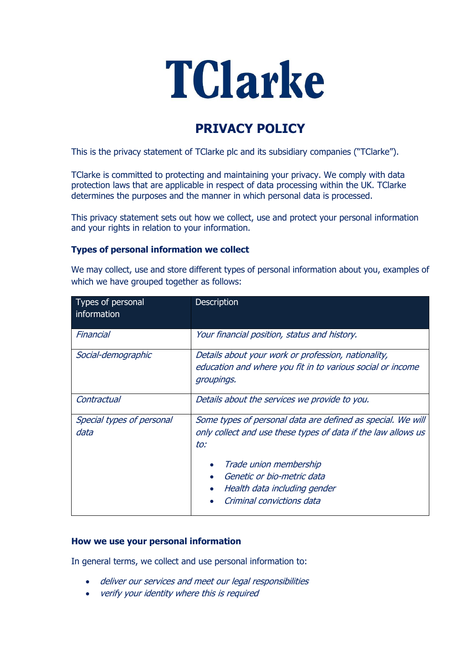# TClarke

# **PRIVACY POLICY**

This is the privacy statement of TClarke plc and its subsidiary companies ("TClarke").

TClarke is committed to protecting and maintaining your privacy. We comply with data protection laws that are applicable in respect of data processing within the UK. TClarke determines the purposes and the manner in which personal data is processed.

This privacy statement sets out how we collect, use and protect your personal information and your rights in relation to your information.

# **Types of personal information we collect**

We may collect, use and store different types of personal information about you, examples of which we have grouped together as follows:

| Types of personal<br>information  | <b>Description</b>                                                                                                                                                                                                                                       |  |
|-----------------------------------|----------------------------------------------------------------------------------------------------------------------------------------------------------------------------------------------------------------------------------------------------------|--|
| Financial                         | Your financial position, status and history.                                                                                                                                                                                                             |  |
| Social-demographic                | Details about your work or profession, nationality,<br>education and where you fit in to various social or income<br>groupings.                                                                                                                          |  |
| Contractual                       | Details about the services we provide to you.                                                                                                                                                                                                            |  |
| Special types of personal<br>data | Some types of personal data are defined as special. We will<br>only collect and use these types of data if the law allows us<br>to:<br>Trade union membership<br>Genetic or bio-metric data<br>Health data including gender<br>Criminal convictions data |  |

#### **How we use your personal information**

In general terms, we collect and use personal information to:

- deliver our services and meet our legal responsibilities
- verify your identity where this is required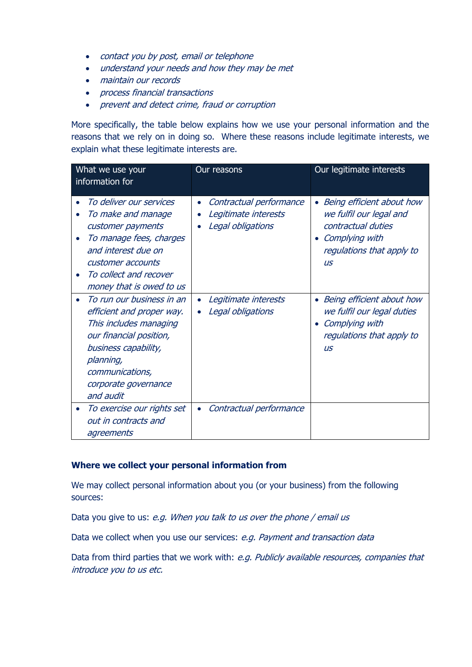- contact you by post, email or telephone
- understand your needs and how they may be met
- maintain our records
- process financial transactions
- prevent and detect crime, fraud or corruption

More specifically, the table below explains how we use your personal information and the reasons that we rely on in doing so. Where these reasons include legitimate interests, we explain what these legitimate interests are.

| What we use your<br>information for |                                                                                                                                                                                                          | Our reasons                                                          | Our legitimate interests                                                                                                               |
|-------------------------------------|----------------------------------------------------------------------------------------------------------------------------------------------------------------------------------------------------------|----------------------------------------------------------------------|----------------------------------------------------------------------------------------------------------------------------------------|
| $\bullet$                           | To deliver our services<br>To make and manage<br>customer payments<br>To manage fees, charges<br>and interest due on<br>customer accounts<br>To collect and recover<br>money that is owed to us          | Contractual performance<br>Legitimate interests<br>Legal obligations | Being efficient about how<br>we fulfil our legal and<br>contractual duties<br>Complying with<br>regulations that apply to<br><b>US</b> |
|                                     | To run our business in an<br>efficient and proper way.<br>This includes managing<br>our financial position,<br>business capability,<br>planning,<br>communications,<br>corporate governance<br>and audit | Legitimate interests<br>Legal obligations                            | Being efficient about how<br>we fulfil our legal duties<br>Complying with<br>regulations that apply to<br><b>US</b>                    |
|                                     | To exercise our rights set<br>out in contracts and<br>agreements                                                                                                                                         | Contractual performance                                              |                                                                                                                                        |

# **Where we collect your personal information from**

We may collect personal information about you (or your business) from the following sources:

Data you give to us: e.g. When you talk to us over the phone / email us

Data we collect when you use our services: e.g. Payment and transaction data

Data from third parties that we work with: e.g. Publicly available resources, companies that introduce you to us etc.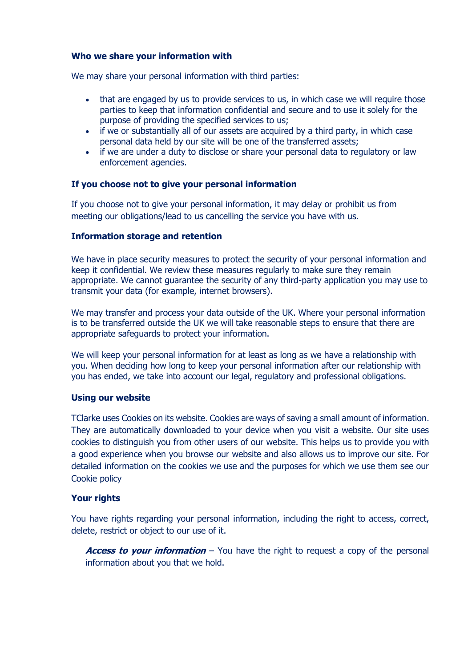## **Who we share your information with**

We may share your personal information with third parties:

- that are engaged by us to provide services to us, in which case we will require those parties to keep that information confidential and secure and to use it solely for the purpose of providing the specified services to us;
- if we or substantially all of our assets are acquired by a third party, in which case personal data held by our site will be one of the transferred assets;
- if we are under a duty to disclose or share your personal data to regulatory or law enforcement agencies.

#### **If you choose not to give your personal information**

If you choose not to give your personal information, it may delay or prohibit us from meeting our obligations/lead to us cancelling the service you have with us.

#### **Information storage and retention**

We have in place security measures to protect the security of your personal information and keep it confidential. We review these measures regularly to make sure they remain appropriate. We cannot guarantee the security of any third-party application you may use to transmit your data (for example, internet browsers).

We may transfer and process your data outside of the UK. Where your personal information is to be transferred outside the UK we will take reasonable steps to ensure that there are appropriate safeguards to protect your information.

We will keep your personal information for at least as long as we have a relationship with you. When deciding how long to keep your personal information after our relationship with you has ended, we take into account our legal, regulatory and professional obligations.

#### **Using our website**

TClarke uses Cookies on its website. Cookies are ways of saving a small amount of information. They are automatically downloaded to your device when you visit a website. Our site uses cookies to distinguish you from other users of our website. This helps us to provide you with a good experience when you browse our website and also allows us to improve our site. For detailed information on the cookies we use and the purposes for which we use them see our Cookie policy

## **Your rights**

You have rights regarding your personal information, including the right to access, correct, delete, restrict or object to our use of it.

**Access to your information** – You have the right to request a copy of the personal information about you that we hold.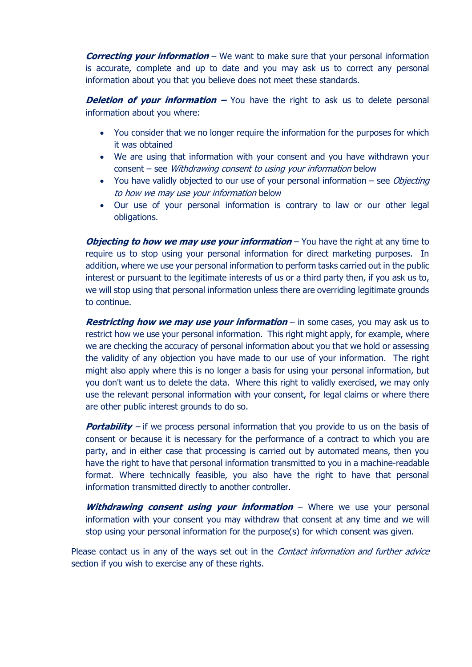**Correcting your information** – We want to make sure that your personal information is accurate, complete and up to date and you may ask us to correct any personal information about you that you believe does not meet these standards.

**Deletion of your information –** You have the right to ask us to delete personal information about you where:

- You consider that we no longer require the information for the purposes for which it was obtained
- We are using that information with your consent and you have withdrawn your consent – see Withdrawing consent to using your information below
- You have validly objected to our use of your personal information  $-$  see *Objecting* to how we may use your information below
- Our use of your personal information is contrary to law or our other legal obligations.

*Objecting to how we may use your information* – You have the right at any time to require us to stop using your personal information for direct marketing purposes. In addition, where we use your personal information to perform tasks carried out in the public interest or pursuant to the legitimate interests of us or a third party then, if you ask us to, we will stop using that personal information unless there are overriding legitimate grounds to continue.

**Restricting how we may use your information** – in some cases, you may ask us to restrict how we use your personal information. This right might apply, for example, where we are checking the accuracy of personal information about you that we hold or assessing the validity of any objection you have made to our use of your information. The right might also apply where this is no longer a basis for using your personal information, but you don't want us to delete the data. Where this right to validly exercised, we may only use the relevant personal information with your consent, for legal claims or where there are other public interest grounds to do so.

**Portability** – if we process personal information that you provide to us on the basis of consent or because it is necessary for the performance of a contract to which you are party, and in either case that processing is carried out by automated means, then you have the right to have that personal information transmitted to you in a machine-readable format. Where technically feasible, you also have the right to have that personal information transmitted directly to another controller.

**Withdrawing consent using your information** – Where we use your personal information with your consent you may withdraw that consent at any time and we will stop using your personal information for the purpose(s) for which consent was given.

Please contact us in any of the ways set out in the *Contact information and further advice* section if you wish to exercise any of these rights.